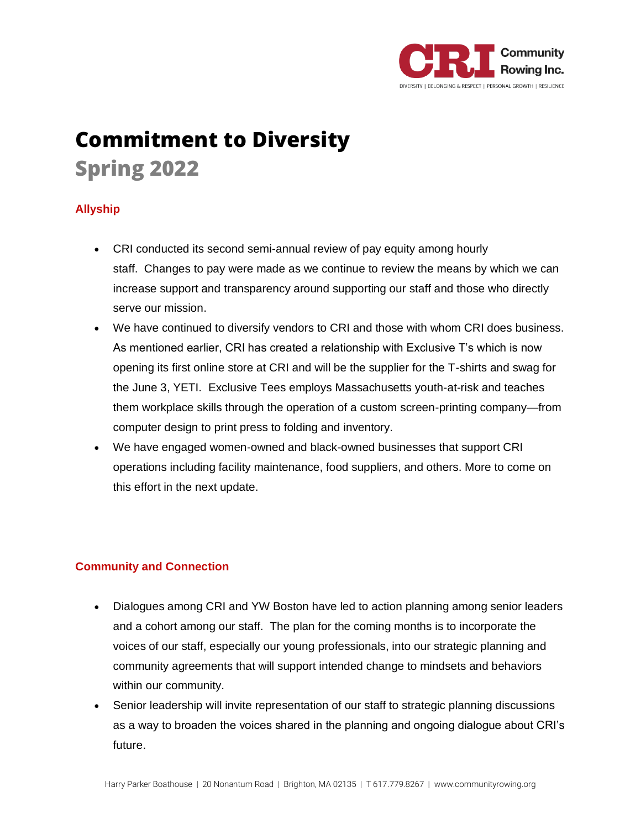

# **Commitment to Diversity Spring 2022**

## **Allyship**

- CRI conducted its second semi-annual review of pay equity among hourly staff. Changes to pay were made as we continue to review the means by which we can increase support and transparency around supporting our staff and those who directly serve our mission.
- We have continued to diversify vendors to CRI and those with whom CRI does business. As mentioned earlier, CRI has created a relationship with Exclusive T's which is now opening its first online store at CRI and will be the supplier for the T-shirts and swag for the June 3, YETI. Exclusive Tees employs Massachusetts youth-at-risk and teaches them workplace skills through the operation of a custom screen-printing company—from computer design to print press to folding and inventory.
- We have engaged women-owned and black-owned businesses that support CRI operations including facility maintenance, food suppliers, and others. More to come on this effort in the next update.

## **Community and Connection**

- Dialogues among CRI and YW Boston have led to action planning among senior leaders and a cohort among our staff. The plan for the coming months is to incorporate the voices of our staff, especially our young professionals, into our strategic planning and community agreements that will support intended change to mindsets and behaviors within our community.
- Senior leadership will invite representation of our staff to strategic planning discussions as a way to broaden the voices shared in the planning and ongoing dialogue about CRI's future.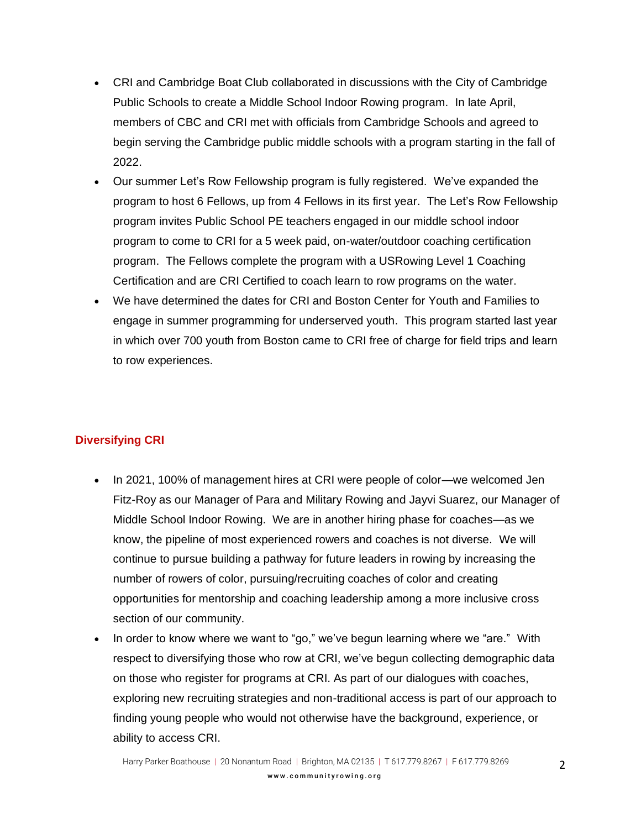- CRI and Cambridge Boat Club collaborated in discussions with the City of Cambridge Public Schools to create a Middle School Indoor Rowing program. In late April, members of CBC and CRI met with officials from Cambridge Schools and agreed to begin serving the Cambridge public middle schools with a program starting in the fall of 2022.
- Our summer Let's Row Fellowship program is fully registered. We've expanded the program to host 6 Fellows, up from 4 Fellows in its first year. The Let's Row Fellowship program invites Public School PE teachers engaged in our middle school indoor program to come to CRI for a 5 week paid, on-water/outdoor coaching certification program. The Fellows complete the program with a USRowing Level 1 Coaching Certification and are CRI Certified to coach learn to row programs on the water.
- We have determined the dates for CRI and Boston Center for Youth and Families to engage in summer programming for underserved youth. This program started last year in which over 700 youth from Boston came to CRI free of charge for field trips and learn to row experiences.

## **Diversifying CRI**

- In 2021, 100% of management hires at CRI were people of color—we welcomed Jen Fitz-Roy as our Manager of Para and Military Rowing and Jayvi Suarez, our Manager of Middle School Indoor Rowing. We are in another hiring phase for coaches—as we know, the pipeline of most experienced rowers and coaches is not diverse. We will continue to pursue building a pathway for future leaders in rowing by increasing the number of rowers of color, pursuing/recruiting coaches of color and creating opportunities for mentorship and coaching leadership among a more inclusive cross section of our community.
- In order to know where we want to "go," we've begun learning where we "are." With respect to diversifying those who row at CRI, we've begun collecting demographic data on those who register for programs at CRI. As part of our dialogues with coaches, exploring new recruiting strategies and non-traditional access is part of our approach to finding young people who would not otherwise have the background, experience, or ability to access CRI.